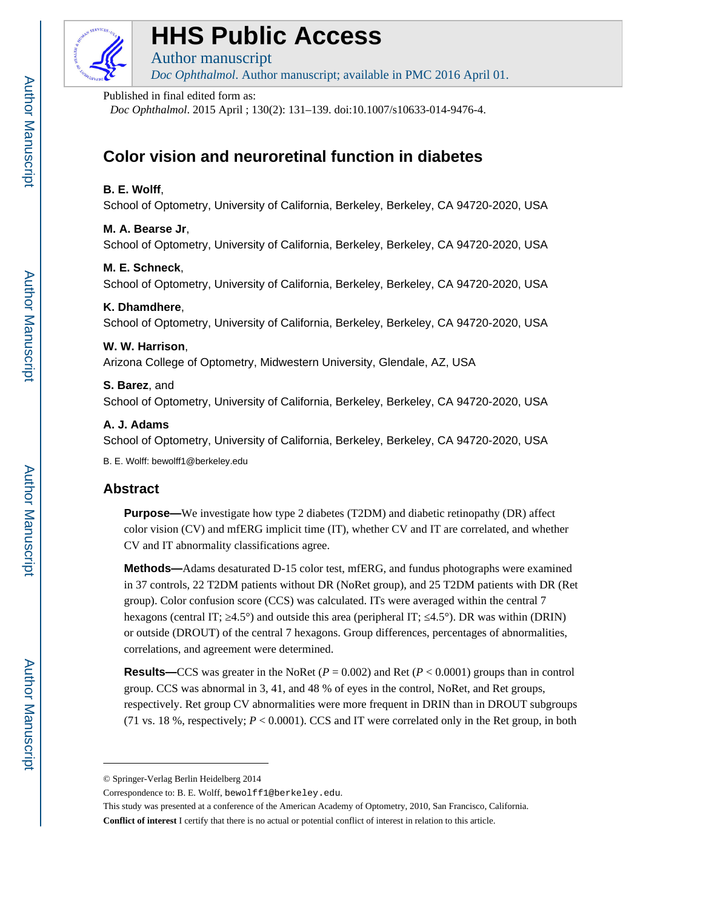

# **HHS Public Access**

Author manuscript

*Doc Ophthalmol*. Author manuscript; available in PMC 2016 April 01.

### Published in final edited form as:

*Doc Ophthalmol*. 2015 April ; 130(2): 131–139. doi:10.1007/s10633-014-9476-4.

## **Color vision and neuroretinal function in diabetes**

## **B. E. Wolff**,

School of Optometry, University of California, Berkeley, Berkeley, CA 94720-2020, USA

## **M. A. Bearse Jr**,

School of Optometry, University of California, Berkeley, Berkeley, CA 94720-2020, USA

## **M. E. Schneck**,

School of Optometry, University of California, Berkeley, Berkeley, CA 94720-2020, USA

## **K. Dhamdhere**,

School of Optometry, University of California, Berkeley, Berkeley, CA 94720-2020, USA

## **W. W. Harrison**,

Arizona College of Optometry, Midwestern University, Glendale, AZ, USA

## **S. Barez**, and

School of Optometry, University of California, Berkeley, Berkeley, CA 94720-2020, USA

## **A. J. Adams**

School of Optometry, University of California, Berkeley, Berkeley, CA 94720-2020, USA

B. E. Wolff: bewolff1@berkeley.edu

## **Abstract**

**Purpose—**We investigate how type 2 diabetes (T2DM) and diabetic retinopathy (DR) affect color vision (CV) and mfERG implicit time (IT), whether CV and IT are correlated, and whether CV and IT abnormality classifications agree.

**Methods—**Adams desaturated D-15 color test, mfERG, and fundus photographs were examined in 37 controls, 22 T2DM patients without DR (NoRet group), and 25 T2DM patients with DR (Ret group). Color confusion score (CCS) was calculated. ITs were averaged within the central 7 hexagons (central IT;  $4.5^{\circ}$ ) and outside this area (peripheral IT;  $4.5^{\circ}$ ). DR was within (DRIN) or outside (DROUT) of the central 7 hexagons. Group differences, percentages of abnormalities, correlations, and agreement were determined.

**Results—CCS** was greater in the NoRet  $(P = 0.002)$  and Ret  $(P < 0.0001)$  groups than in control group. CCS was abnormal in 3, 41, and 48 % of eyes in the control, NoRet, and Ret groups, respectively. Ret group CV abnormalities were more frequent in DRIN than in DROUT subgroups (71 vs. 18 %, respectively;  $P < 0.0001$ ). CCS and IT were correlated only in the Ret group, in both

<sup>©</sup> Springer-Verlag Berlin Heidelberg 2014

Correspondence to: B. E. Wolff, bewolff1@berkeley.edu.

This study was presented at a conference of the American Academy of Optometry, 2010, San Francisco, California. **Conflict of interest** I certify that there is no actual or potential conflict of interest in relation to this article.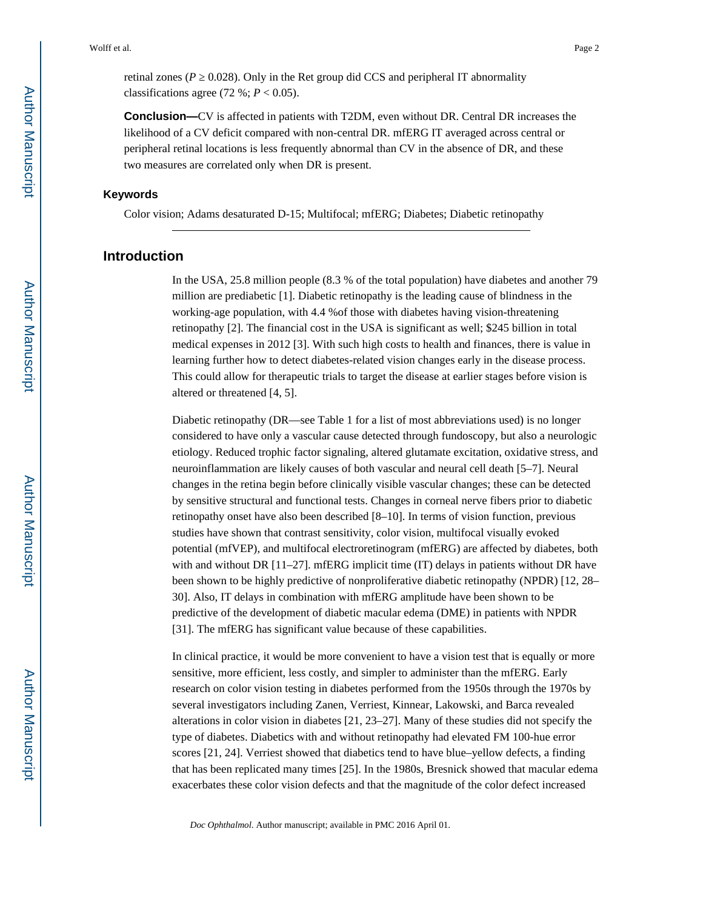**Conclusion—**CV is affected in patients with T2DM, even without DR. Central DR increases the likelihood of a CV deficit compared with non-central DR. mfERG IT averaged across central or peripheral retinal locations is less frequently abnormal than CV in the absence of DR, and these two measures are correlated only when DR is present.

#### **Keywords**

classifications agree (72 %;  $P < 0.05$ ).

Color vision; Adams desaturated D-15; Multifocal; mfERG; Diabetes; Diabetic retinopathy

## **Introduction**

In the USA, 25.8 million people (8.3 % of the total population) have diabetes and another 79 million are prediabetic [1]. Diabetic retinopathy is the leading cause of blindness in the working-age population, with 4.4 %of those with diabetes having vision-threatening retinopathy [2]. The financial cost in the USA is significant as well; \$245 billion in total medical expenses in 2012 [3]. With such high costs to health and finances, there is value in learning further how to detect diabetes-related vision changes early in the disease process. This could allow for therapeutic trials to target the disease at earlier stages before vision is altered or threatened [4, 5].

Diabetic retinopathy (DR—see Table 1 for a list of most abbreviations used) is no longer considered to have only a vascular cause detected through fundoscopy, but also a neurologic etiology. Reduced trophic factor signaling, altered glutamate excitation, oxidative stress, and neuroinflammation are likely causes of both vascular and neural cell death [5–7]. Neural changes in the retina begin before clinically visible vascular changes; these can be detected by sensitive structural and functional tests. Changes in corneal nerve fibers prior to diabetic retinopathy onset have also been described [8–10]. In terms of vision function, previous studies have shown that contrast sensitivity, color vision, multifocal visually evoked potential (mfVEP), and multifocal electroretinogram (mfERG) are affected by diabetes, both with and without DR [11–27]. mfERG implicit time (IT) delays in patients without DR have been shown to be highly predictive of nonproliferative diabetic retinopathy (NPDR) [12, 28– 30]. Also, IT delays in combination with mfERG amplitude have been shown to be predictive of the development of diabetic macular edema (DME) in patients with NPDR [31]. The mfERG has significant value because of these capabilities.

In clinical practice, it would be more convenient to have a vision test that is equally or more sensitive, more efficient, less costly, and simpler to administer than the mfERG. Early research on color vision testing in diabetes performed from the 1950s through the 1970s by several investigators including Zanen, Verriest, Kinnear, Lakowski, and Barca revealed alterations in color vision in diabetes [21, 23–27]. Many of these studies did not specify the type of diabetes. Diabetics with and without retinopathy had elevated FM 100-hue error scores [21, 24]. Verriest showed that diabetics tend to have blue–yellow defects, a finding that has been replicated many times [25]. In the 1980s, Bresnick showed that macular edema exacerbates these color vision defects and that the magnitude of the color defect increased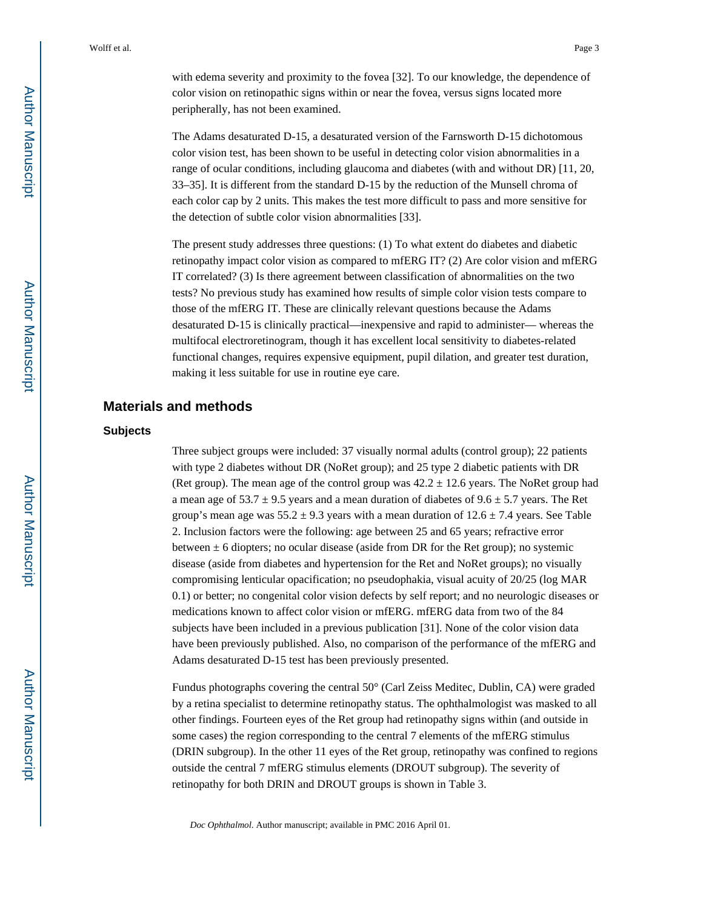with edema severity and proximity to the fovea [32]. To our knowledge, the dependence of color vision on retinopathic signs within or near the fovea, versus signs located more peripherally, has not been examined.

The Adams desaturated D-15, a desaturated version of the Farnsworth D-15 dichotomous color vision test, has been shown to be useful in detecting color vision abnormalities in a range of ocular conditions, including glaucoma and diabetes (with and without DR) [11, 20, 33–35]. It is different from the standard D-15 by the reduction of the Munsell chroma of each color cap by 2 units. This makes the test more difficult to pass and more sensitive for the detection of subtle color vision abnormalities [33].

The present study addresses three questions: (1) To what extent do diabetes and diabetic retinopathy impact color vision as compared to mfERG IT? (2) Are color vision and mfERG IT correlated? (3) Is there agreement between classification of abnormalities on the two tests? No previous study has examined how results of simple color vision tests compare to those of the mfERG IT. These are clinically relevant questions because the Adams desaturated D-15 is clinically practical—inexpensive and rapid to administer— whereas the multifocal electroretinogram, though it has excellent local sensitivity to diabetes-related functional changes, requires expensive equipment, pupil dilation, and greater test duration, making it less suitable for use in routine eye care.

#### **Materials and methods**

#### **Subjects**

Three subject groups were included: 37 visually normal adults (control group); 22 patients with type 2 diabetes without DR (NoRet group); and 25 type 2 diabetic patients with DR (Ret group). The mean age of the control group was  $42.2 \pm 12.6$  years. The NoRet group had a mean age of  $53.7 \pm 9.5$  years and a mean duration of diabetes of  $9.6 \pm 5.7$  years. The Ret group's mean age was  $55.2 \pm 9.3$  years with a mean duration of  $12.6 \pm 7.4$  years. See Table 2. Inclusion factors were the following: age between 25 and 65 years; refractive error between  $\pm$  6 diopters; no ocular disease (aside from DR for the Ret group); no systemic disease (aside from diabetes and hypertension for the Ret and NoRet groups); no visually compromising lenticular opacification; no pseudophakia, visual acuity of 20/25 (log MAR 0.1) or better; no congenital color vision defects by self report; and no neurologic diseases or medications known to affect color vision or mfERG. mfERG data from two of the 84 subjects have been included in a previous publication [31]. None of the color vision data have been previously published. Also, no comparison of the performance of the mfERG and Adams desaturated D-15 test has been previously presented.

Fundus photographs covering the central 50° (Carl Zeiss Meditec, Dublin, CA) were graded by a retina specialist to determine retinopathy status. The ophthalmologist was masked to all other findings. Fourteen eyes of the Ret group had retinopathy signs within (and outside in some cases) the region corresponding to the central 7 elements of the mfERG stimulus (DRIN subgroup). In the other 11 eyes of the Ret group, retinopathy was confined to regions outside the central 7 mfERG stimulus elements (DROUT subgroup). The severity of retinopathy for both DRIN and DROUT groups is shown in Table 3.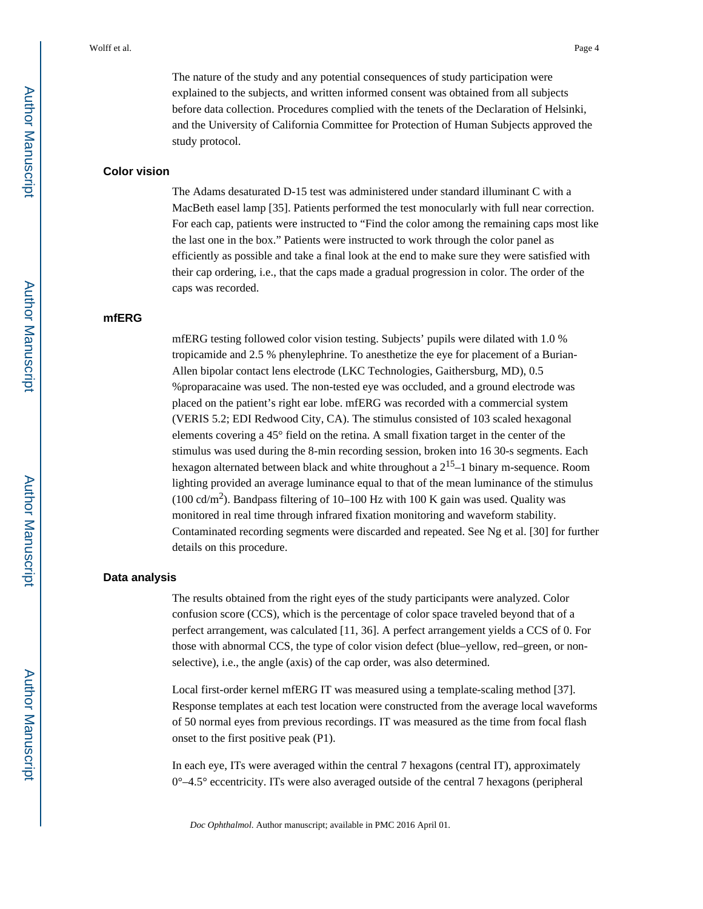The nature of the study and any potential consequences of study participation were explained to the subjects, and written informed consent was obtained from all subjects before data collection. Procedures complied with the tenets of the Declaration of Helsinki, and the University of California Committee for Protection of Human Subjects approved the study protocol.

#### **Color vision**

The Adams desaturated D-15 test was administered under standard illuminant C with a MacBeth easel lamp [35]. Patients performed the test monocularly with full near correction. For each cap, patients were instructed to "Find the color among the remaining caps most like the last one in the box." Patients were instructed to work through the color panel as efficiently as possible and take a final look at the end to make sure they were satisfied with their cap ordering, i.e., that the caps made a gradual progression in color. The order of the caps was recorded.

#### **mfERG**

mfERG testing followed color vision testing. Subjects' pupils were dilated with 1.0 % tropicamide and 2.5 % phenylephrine. To anesthetize the eye for placement of a Burian-Allen bipolar contact lens electrode (LKC Technologies, Gaithersburg, MD), 0.5 %proparacaine was used. The non-tested eye was occluded, and a ground electrode was placed on the patient's right ear lobe. mfERG was recorded with a commercial system (VERIS 5.2; EDI Redwood City, CA). The stimulus consisted of 103 scaled hexagonal elements covering a 45° field on the retina. A small fixation target in the center of the stimulus was used during the 8-min recording session, broken into 16 30-s segments. Each hexagon alternated between black and white throughout a 215–1 binary m-sequence. Room lighting provided an average luminance equal to that of the mean luminance of the stimulus (100 cd/m<sup>2</sup>). Bandpass filtering of 10–100 Hz with 100 K gain was used. Quality was monitored in real time through infrared fixation monitoring and waveform stability. Contaminated recording segments were discarded and repeated. See Ng et al. [30] for further details on this procedure.

#### **Data analysis**

The results obtained from the right eyes of the study participants were analyzed. Color confusion score (CCS), which is the percentage of color space traveled beyond that of a perfect arrangement, was calculated [11, 36]. A perfect arrangement yields a CCS of 0. For those with abnormal CCS, the type of color vision defect (blue–yellow, red–green, or nonselective), i.e., the angle (axis) of the cap order, was also determined.

Local first-order kernel mfERG IT was measured using a template-scaling method [37]. Response templates at each test location were constructed from the average local waveforms of 50 normal eyes from previous recordings. IT was measured as the time from focal flash onset to the first positive peak (P1).

In each eye, ITs were averaged within the central 7 hexagons (central IT), approximately  $0^{\circ}$ –4.5° eccentricity. ITs were also averaged outside of the central 7 hexagons (peripheral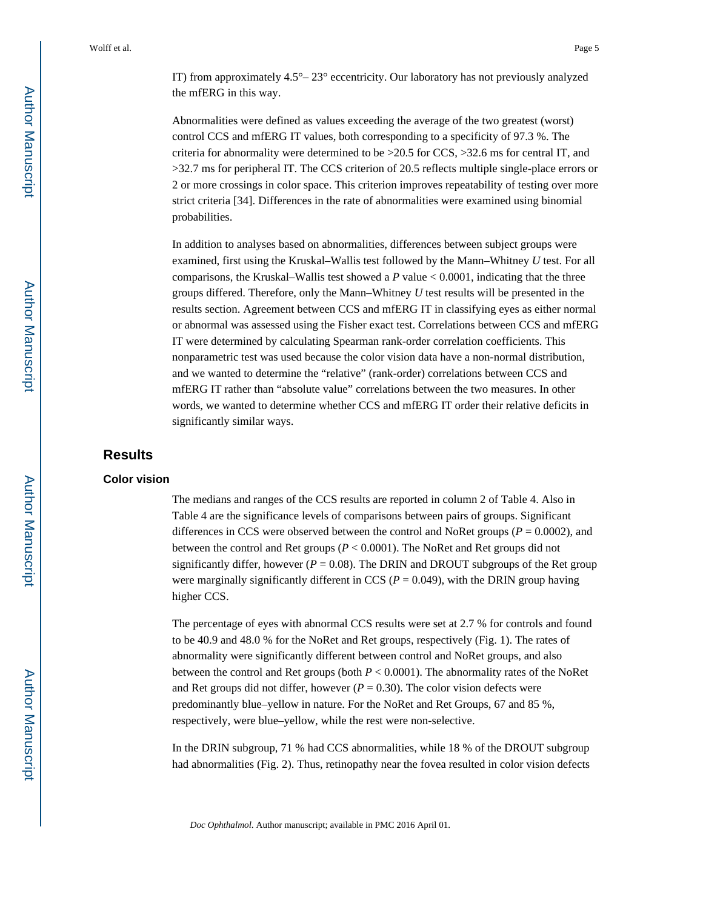IT) from approximately  $4.5^{\circ} - 23^{\circ}$  eccentricity. Our laboratory has not previously analyzed the mfERG in this way.

Abnormalities were defined as values exceeding the average of the two greatest (worst) control CCS and mfERG IT values, both corresponding to a specificity of 97.3 %. The criteria for abnormality were determined to be >20.5 for CCS, >32.6 ms for central IT, and >32.7 ms for peripheral IT. The CCS criterion of 20.5 reflects multiple single-place errors or 2 or more crossings in color space. This criterion improves repeatability of testing over more strict criteria [34]. Differences in the rate of abnormalities were examined using binomial probabilities.

In addition to analyses based on abnormalities, differences between subject groups were examined, first using the Kruskal–Wallis test followed by the Mann–Whitney *U* test. For all comparisons, the Kruskal–Wallis test showed a *P* value < 0.0001, indicating that the three groups differed. Therefore, only the Mann–Whitney *U* test results will be presented in the results section. Agreement between CCS and mfERG IT in classifying eyes as either normal or abnormal was assessed using the Fisher exact test. Correlations between CCS and mfERG IT were determined by calculating Spearman rank-order correlation coefficients. This nonparametric test was used because the color vision data have a non-normal distribution, and we wanted to determine the "relative" (rank-order) correlations between CCS and mfERG IT rather than "absolute value" correlations between the two measures. In other words, we wanted to determine whether CCS and mfERG IT order their relative deficits in significantly similar ways.

#### **Results**

#### **Color vision**

The medians and ranges of the CCS results are reported in column 2 of Table 4. Also in Table 4 are the significance levels of comparisons between pairs of groups. Significant differences in CCS were observed between the control and NoRet groups ( $P = 0.0002$ ), and between the control and Ret groups (*P* < 0.0001). The NoRet and Ret groups did not significantly differ, however ( $P = 0.08$ ). The DRIN and DROUT subgroups of the Ret group were marginally significantly different in CCS ( $P = 0.049$ ), with the DRIN group having higher CCS.

The percentage of eyes with abnormal CCS results were set at 2.7 % for controls and found to be 40.9 and 48.0 % for the NoRet and Ret groups, respectively (Fig. 1). The rates of abnormality were significantly different between control and NoRet groups, and also between the control and Ret groups (both *P* < 0.0001). The abnormality rates of the NoRet and Ret groups did not differ, however  $(P = 0.30)$ . The color vision defects were predominantly blue–yellow in nature. For the NoRet and Ret Groups, 67 and 85 %, respectively, were blue–yellow, while the rest were non-selective.

In the DRIN subgroup, 71 % had CCS abnormalities, while 18 % of the DROUT subgroup had abnormalities (Fig. 2). Thus, retinopathy near the fovea resulted in color vision defects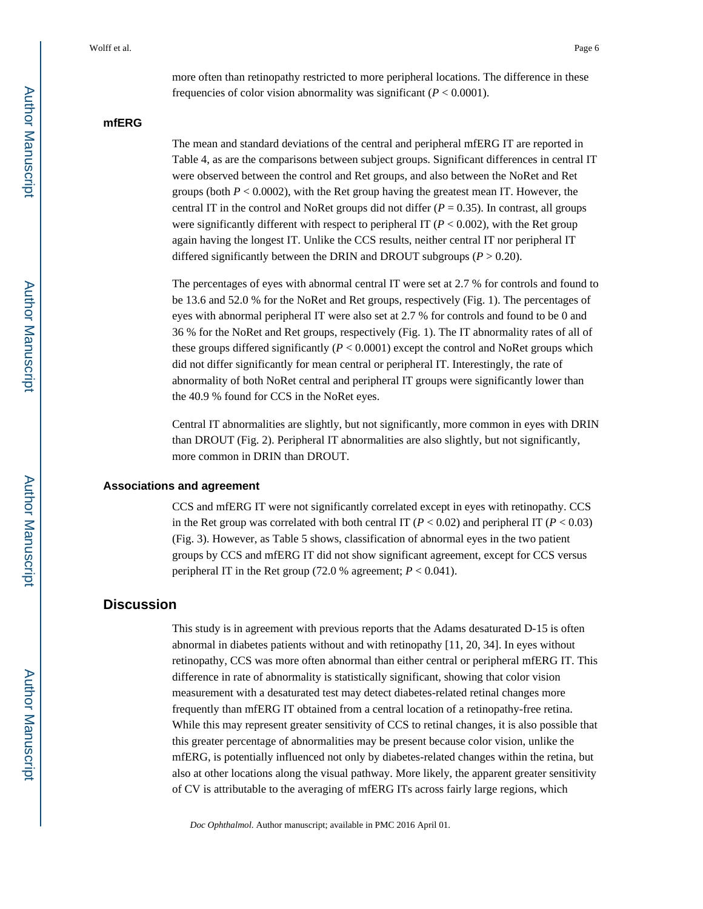more often than retinopathy restricted to more peripheral locations. The difference in these frequencies of color vision abnormality was significant  $(P < 0.0001)$ .

#### **mfERG**

The mean and standard deviations of the central and peripheral mfERG IT are reported in Table 4, as are the comparisons between subject groups. Significant differences in central IT were observed between the control and Ret groups, and also between the NoRet and Ret groups (both  $P < 0.0002$ ), with the Ret group having the greatest mean IT. However, the central IT in the control and NoRet groups did not differ  $(P = 0.35)$ . In contrast, all groups were significantly different with respect to peripheral IT ( $P < 0.002$ ), with the Ret group again having the longest IT. Unlike the CCS results, neither central IT nor peripheral IT differed significantly between the DRIN and DROUT subgroups  $(P > 0.20)$ .

The percentages of eyes with abnormal central IT were set at 2.7 % for controls and found to be 13.6 and 52.0 % for the NoRet and Ret groups, respectively (Fig. 1). The percentages of eyes with abnormal peripheral IT were also set at 2.7 % for controls and found to be 0 and 36 % for the NoRet and Ret groups, respectively (Fig. 1). The IT abnormality rates of all of these groups differed significantly  $(P < 0.0001)$  except the control and NoRet groups which did not differ significantly for mean central or peripheral IT. Interestingly, the rate of abnormality of both NoRet central and peripheral IT groups were significantly lower than the 40.9 % found for CCS in the NoRet eyes.

Central IT abnormalities are slightly, but not significantly, more common in eyes with DRIN than DROUT (Fig. 2). Peripheral IT abnormalities are also slightly, but not significantly, more common in DRIN than DROUT.

#### **Associations and agreement**

CCS and mfERG IT were not significantly correlated except in eyes with retinopathy. CCS in the Ret group was correlated with both central IT ( $P < 0.02$ ) and peripheral IT ( $P < 0.03$ ) (Fig. 3). However, as Table 5 shows, classification of abnormal eyes in the two patient groups by CCS and mfERG IT did not show significant agreement, except for CCS versus peripheral IT in the Ret group (72.0 % agreement;  $P < 0.041$ ).

#### **Discussion**

This study is in agreement with previous reports that the Adams desaturated D-15 is often abnormal in diabetes patients without and with retinopathy [11, 20, 34]. In eyes without retinopathy, CCS was more often abnormal than either central or peripheral mfERG IT. This difference in rate of abnormality is statistically significant, showing that color vision measurement with a desaturated test may detect diabetes-related retinal changes more frequently than mfERG IT obtained from a central location of a retinopathy-free retina. While this may represent greater sensitivity of CCS to retinal changes, it is also possible that this greater percentage of abnormalities may be present because color vision, unlike the mfERG, is potentially influenced not only by diabetes-related changes within the retina, but also at other locations along the visual pathway. More likely, the apparent greater sensitivity of CV is attributable to the averaging of mfERG ITs across fairly large regions, which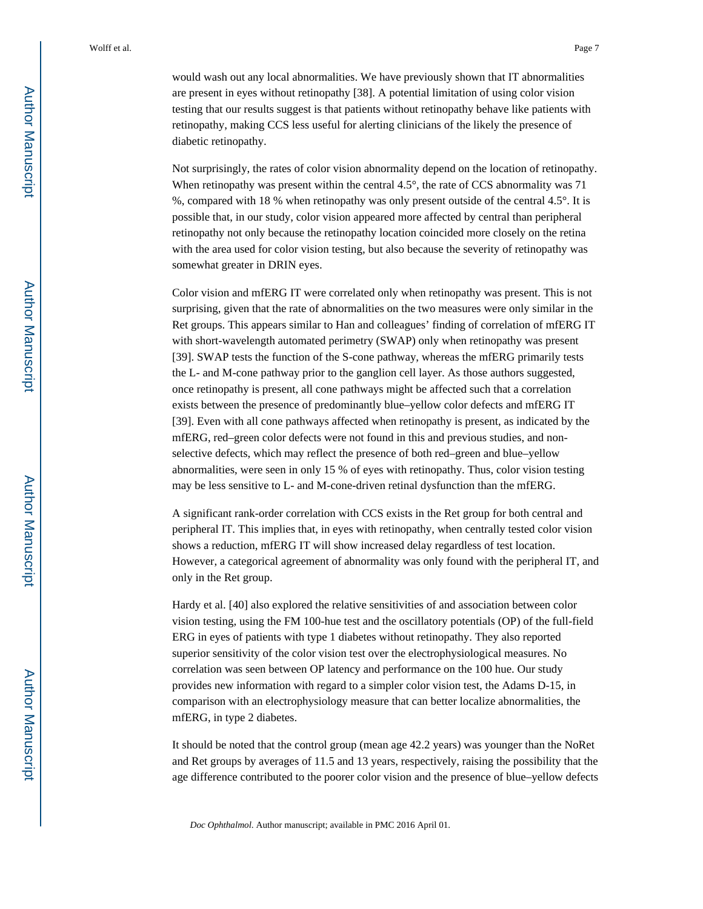would wash out any local abnormalities. We have previously shown that IT abnormalities are present in eyes without retinopathy [38]. A potential limitation of using color vision testing that our results suggest is that patients without retinopathy behave like patients with retinopathy, making CCS less useful for alerting clinicians of the likely the presence of diabetic retinopathy.

Not surprisingly, the rates of color vision abnormality depend on the location of retinopathy. When retinopathy was present within the central 4.5°, the rate of CCS abnormality was 71 %, compared with 18 % when retinopathy was only present outside of the central 4.5°. It is possible that, in our study, color vision appeared more affected by central than peripheral retinopathy not only because the retinopathy location coincided more closely on the retina with the area used for color vision testing, but also because the severity of retinopathy was somewhat greater in DRIN eyes.

Color vision and mfERG IT were correlated only when retinopathy was present. This is not surprising, given that the rate of abnormalities on the two measures were only similar in the Ret groups. This appears similar to Han and colleagues' finding of correlation of mfERG IT with short-wavelength automated perimetry (SWAP) only when retinopathy was present [39]. SWAP tests the function of the S-cone pathway, whereas the mfERG primarily tests the L- and M-cone pathway prior to the ganglion cell layer. As those authors suggested, once retinopathy is present, all cone pathways might be affected such that a correlation exists between the presence of predominantly blue–yellow color defects and mfERG IT [39]. Even with all cone pathways affected when retinopathy is present, as indicated by the mfERG, red–green color defects were not found in this and previous studies, and nonselective defects, which may reflect the presence of both red–green and blue–yellow abnormalities, were seen in only 15 % of eyes with retinopathy. Thus, color vision testing may be less sensitive to L- and M-cone-driven retinal dysfunction than the mfERG.

A significant rank-order correlation with CCS exists in the Ret group for both central and peripheral IT. This implies that, in eyes with retinopathy, when centrally tested color vision shows a reduction, mfERG IT will show increased delay regardless of test location. However, a categorical agreement of abnormality was only found with the peripheral IT, and only in the Ret group.

Hardy et al. [40] also explored the relative sensitivities of and association between color vision testing, using the FM 100-hue test and the oscillatory potentials (OP) of the full-field ERG in eyes of patients with type 1 diabetes without retinopathy. They also reported superior sensitivity of the color vision test over the electrophysiological measures. No correlation was seen between OP latency and performance on the 100 hue. Our study provides new information with regard to a simpler color vision test, the Adams D-15, in comparison with an electrophysiology measure that can better localize abnormalities, the mfERG, in type 2 diabetes.

It should be noted that the control group (mean age 42.2 years) was younger than the NoRet and Ret groups by averages of 11.5 and 13 years, respectively, raising the possibility that the age difference contributed to the poorer color vision and the presence of blue–yellow defects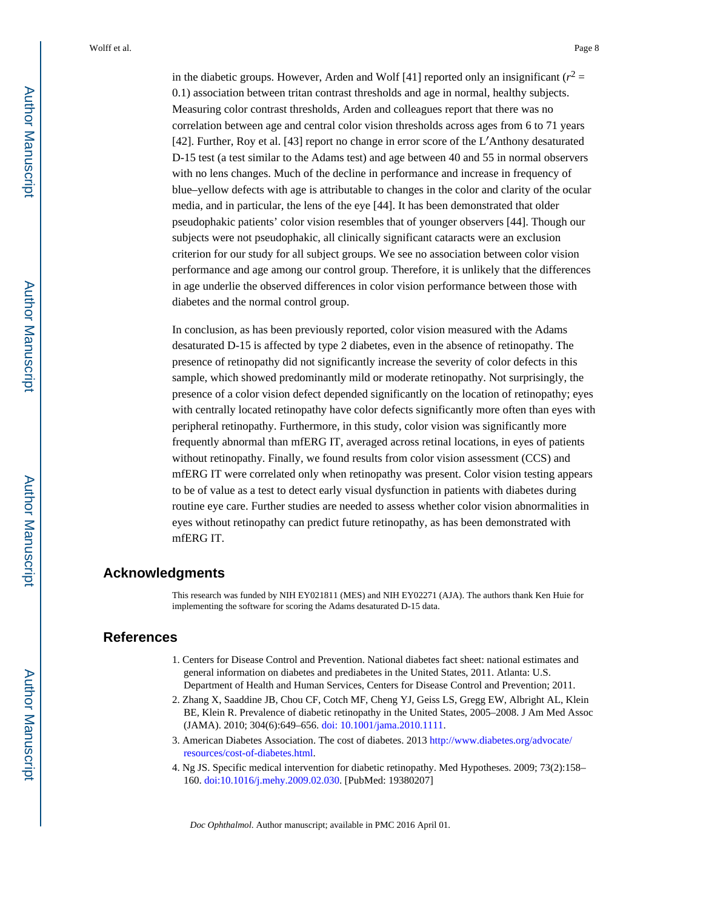in the diabetic groups. However, Arden and Wolf [41] reported only an insignificant  $(r^2 =$ 0.1) association between tritan contrast thresholds and age in normal, healthy subjects. Measuring color contrast thresholds, Arden and colleagues report that there was no correlation between age and central color vision thresholds across ages from 6 to 71 years [42]. Further, Roy et al. [43] report no change in error score of the L′Anthony desaturated D-15 test (a test similar to the Adams test) and age between 40 and 55 in normal observers with no lens changes. Much of the decline in performance and increase in frequency of blue–yellow defects with age is attributable to changes in the color and clarity of the ocular media, and in particular, the lens of the eye [44]. It has been demonstrated that older pseudophakic patients' color vision resembles that of younger observers [44]. Though our subjects were not pseudophakic, all clinically significant cataracts were an exclusion criterion for our study for all subject groups. We see no association between color vision performance and age among our control group. Therefore, it is unlikely that the differences in age underlie the observed differences in color vision performance between those with diabetes and the normal control group.

In conclusion, as has been previously reported, color vision measured with the Adams desaturated D-15 is affected by type 2 diabetes, even in the absence of retinopathy. The presence of retinopathy did not significantly increase the severity of color defects in this sample, which showed predominantly mild or moderate retinopathy. Not surprisingly, the presence of a color vision defect depended significantly on the location of retinopathy; eyes with centrally located retinopathy have color defects significantly more often than eyes with peripheral retinopathy. Furthermore, in this study, color vision was significantly more frequently abnormal than mfERG IT, averaged across retinal locations, in eyes of patients without retinopathy. Finally, we found results from color vision assessment (CCS) and mfERG IT were correlated only when retinopathy was present. Color vision testing appears to be of value as a test to detect early visual dysfunction in patients with diabetes during routine eye care. Further studies are needed to assess whether color vision abnormalities in eyes without retinopathy can predict future retinopathy, as has been demonstrated with mfERG IT.

#### **Acknowledgments**

This research was funded by NIH EY021811 (MES) and NIH EY02271 (AJA). The authors thank Ken Huie for implementing the software for scoring the Adams desaturated D-15 data.

## **References**

- 1. Centers for Disease Control and Prevention. National diabetes fact sheet: national estimates and general information on diabetes and prediabetes in the United States, 2011. Atlanta: U.S. Department of Health and Human Services, Centers for Disease Control and Prevention; 2011.
- 2. Zhang X, Saaddine JB, Chou CF, Cotch MF, Cheng YJ, Geiss LS, Gregg EW, Albright AL, Klein BE, Klein R. Prevalence of diabetic retinopathy in the United States, 2005–2008. J Am Med Assoc (JAMA). 2010; 304(6):649–656. [doi: 10.1001/jama.2010.1111](http://dx.doi.org/10.1001/jama.2010.1111).
- 3. American Diabetes Association. The cost of diabetes. 2013 [http://www.diabetes.org/advocate/](http://www.diabetes.org/advocate/resources/cost-of-diabetes.html) [resources/cost-of-diabetes.html.](http://www.diabetes.org/advocate/resources/cost-of-diabetes.html)
- 4. Ng JS. Specific medical intervention for diabetic retinopathy. Med Hypotheses. 2009; 73(2):158– 160. [doi:10.1016/j.mehy.2009.02.030.](http://dx.doi.org/10.1016/j.mehy.2009.02.030) [PubMed: 19380207]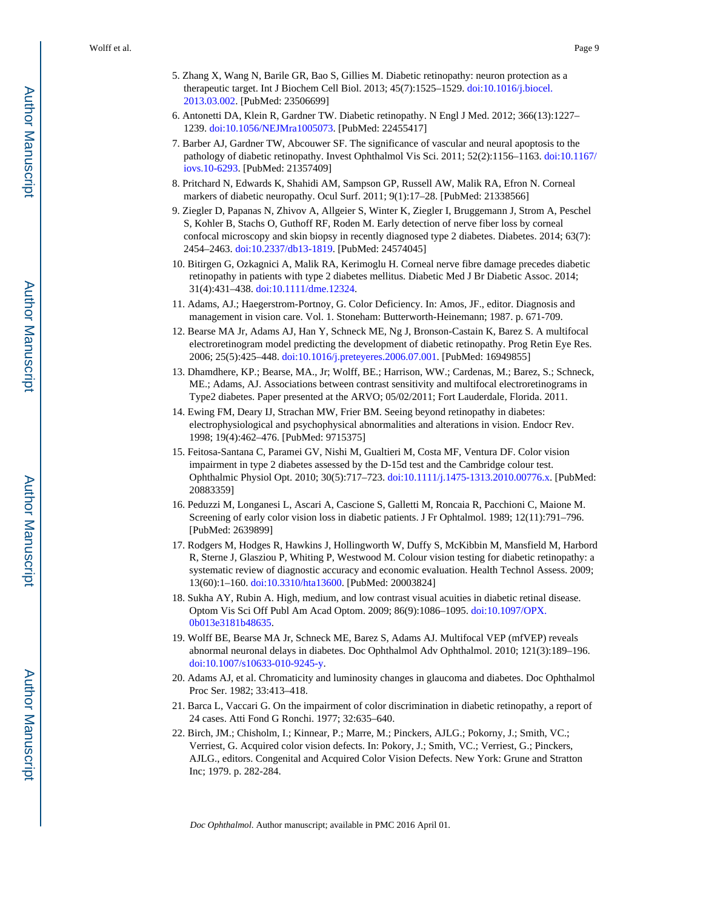- 5. Zhang X, Wang N, Barile GR, Bao S, Gillies M. Diabetic retinopathy: neuron protection as a therapeutic target. Int J Biochem Cell Biol. 2013; 45(7):1525–1529. [doi:10.1016/j.biocel.](http://dx.doi.org/10.1016/j.biocel.2013.03.002) [2013.03.002](http://dx.doi.org/10.1016/j.biocel.2013.03.002). [PubMed: 23506699]
- 6. Antonetti DA, Klein R, Gardner TW. Diabetic retinopathy. N Engl J Med. 2012; 366(13):1227– 1239. [doi:10.1056/NEJMra1005073](http://dx.doi.org/10.1056/NEJMra1005073). [PubMed: 22455417]
- 7. Barber AJ, Gardner TW, Abcouwer SF. The significance of vascular and neural apoptosis to the pathology of diabetic retinopathy. Invest Ophthalmol Vis Sci. 2011; 52(2):1156–1163. [doi:10.1167/](http://dx.doi.org/10.1167/iovs.10-6293) [iovs.10-6293](http://dx.doi.org/10.1167/iovs.10-6293). [PubMed: 21357409]
- 8. Pritchard N, Edwards K, Shahidi AM, Sampson GP, Russell AW, Malik RA, Efron N. Corneal markers of diabetic neuropathy. Ocul Surf. 2011; 9(1):17–28. [PubMed: 21338566]
- 9. Ziegler D, Papanas N, Zhivov A, Allgeier S, Winter K, Ziegler I, Bruggemann J, Strom A, Peschel S, Kohler B, Stachs O, Guthoff RF, Roden M. Early detection of nerve fiber loss by corneal confocal microscopy and skin biopsy in recently diagnosed type 2 diabetes. Diabetes. 2014; 63(7): 2454–2463. [doi:10.2337/db13-1819.](http://dx.doi.org/10.2337/db13-1819) [PubMed: 24574045]
- 10. Bitirgen G, Ozkagnici A, Malik RA, Kerimoglu H. Corneal nerve fibre damage precedes diabetic retinopathy in patients with type 2 diabetes mellitus. Diabetic Med J Br Diabetic Assoc. 2014; 31(4):431–438. [doi:10.1111/dme.12324.](http://dx.doi.org/10.1111/dme.12324)
- 11. Adams, AJ.; Haegerstrom-Portnoy, G. Color Deficiency. In: Amos, JF., editor. Diagnosis and management in vision care. Vol. 1. Stoneham: Butterworth-Heinemann; 1987. p. 671-709.
- 12. Bearse MA Jr, Adams AJ, Han Y, Schneck ME, Ng J, Bronson-Castain K, Barez S. A multifocal electroretinogram model predicting the development of diabetic retinopathy. Prog Retin Eye Res. 2006; 25(5):425–448. [doi:10.1016/j.preteyeres.2006.07.001](http://dx.doi.org/10.1016/j.preteyeres.2006.07.001). [PubMed: 16949855]
- 13. Dhamdhere, KP.; Bearse, MA., Jr; Wolff, BE.; Harrison, WW.; Cardenas, M.; Barez, S.; Schneck, ME.; Adams, AJ. Associations between contrast sensitivity and multifocal electroretinograms in Type2 diabetes. Paper presented at the ARVO; 05/02/2011; Fort Lauderdale, Florida. 2011.
- 14. Ewing FM, Deary IJ, Strachan MW, Frier BM. Seeing beyond retinopathy in diabetes: electrophysiological and psychophysical abnormalities and alterations in vision. Endocr Rev. 1998; 19(4):462–476. [PubMed: 9715375]
- 15. Feitosa-Santana C, Paramei GV, Nishi M, Gualtieri M, Costa MF, Ventura DF. Color vision impairment in type 2 diabetes assessed by the D-15d test and the Cambridge colour test. Ophthalmic Physiol Opt. 2010; 30(5):717–723. [doi:10.1111/j.1475-1313.2010.00776.x](http://dx.doi.org/10.1111/j.1475-1313.2010.00776.x). [PubMed: 20883359]
- 16. Peduzzi M, Longanesi L, Ascari A, Cascione S, Galletti M, Roncaia R, Pacchioni C, Maione M. Screening of early color vision loss in diabetic patients. J Fr Ophtalmol. 1989; 12(11):791–796. [PubMed: 2639899]
- 17. Rodgers M, Hodges R, Hawkins J, Hollingworth W, Duffy S, McKibbin M, Mansfield M, Harbord R, Sterne J, Glasziou P, Whiting P, Westwood M. Colour vision testing for diabetic retinopathy: a systematic review of diagnostic accuracy and economic evaluation. Health Technol Assess. 2009; 13(60):1–160. [doi:10.3310/hta13600.](http://dx.doi.org/10.3310/hta13600) [PubMed: 20003824]
- 18. Sukha AY, Rubin A. High, medium, and low contrast visual acuities in diabetic retinal disease. Optom Vis Sci Off Publ Am Acad Optom. 2009; 86(9):1086–1095. [doi:10.1097/OPX.](http://dx.doi.org/10.1097/OPX.0b013e3181b48635) [0b013e3181b48635](http://dx.doi.org/10.1097/OPX.0b013e3181b48635).
- 19. Wolff BE, Bearse MA Jr, Schneck ME, Barez S, Adams AJ. Multifocal VEP (mfVEP) reveals abnormal neuronal delays in diabetes. Doc Ophthalmol Adv Ophthalmol. 2010; 121(3):189–196. [doi:10.1007/s10633-010-9245-y.](http://dx.doi.org/10.1007/s10633-010-9245-y)
- 20. Adams AJ, et al. Chromaticity and luminosity changes in glaucoma and diabetes. Doc Ophthalmol Proc Ser. 1982; 33:413–418.
- 21. Barca L, Vaccari G. On the impairment of color discrimination in diabetic retinopathy, a report of 24 cases. Atti Fond G Ronchi. 1977; 32:635–640.
- 22. Birch, JM.; Chisholm, I.; Kinnear, P.; Marre, M.; Pinckers, AJLG.; Pokorny, J.; Smith, VC.; Verriest, G. Acquired color vision defects. In: Pokory, J.; Smith, VC.; Verriest, G.; Pinckers, AJLG., editors. Congenital and Acquired Color Vision Defects. New York: Grune and Stratton Inc; 1979. p. 282-284.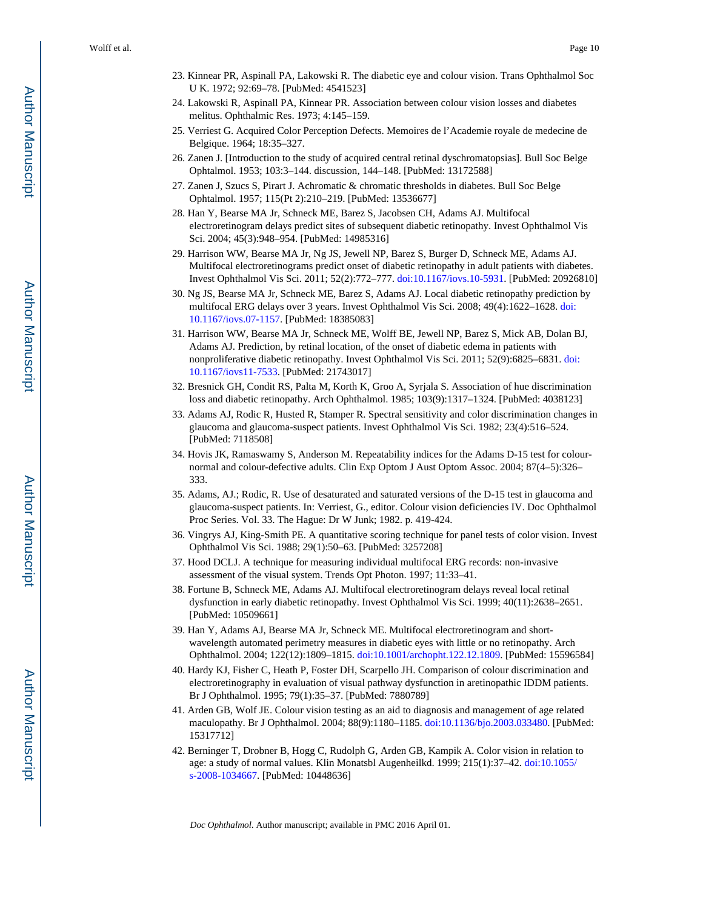- 23. Kinnear PR, Aspinall PA, Lakowski R. The diabetic eye and colour vision. Trans Ophthalmol Soc U K. 1972; 92:69–78. [PubMed: 4541523]
- 24. Lakowski R, Aspinall PA, Kinnear PR. Association between colour vision losses and diabetes melitus. Ophthalmic Res. 1973; 4:145–159.
- 25. Verriest G. Acquired Color Perception Defects. Memoires de l'Academie royale de medecine de Belgique. 1964; 18:35–327.
- 26. Zanen J. [Introduction to the study of acquired central retinal dyschromatopsias]. Bull Soc Belge Ophtalmol. 1953; 103:3–144. discussion, 144–148. [PubMed: 13172588]
- 27. Zanen J, Szucs S, Pirart J. Achromatic & chromatic thresholds in diabetes. Bull Soc Belge Ophtalmol. 1957; 115(Pt 2):210–219. [PubMed: 13536677]
- 28. Han Y, Bearse MA Jr, Schneck ME, Barez S, Jacobsen CH, Adams AJ. Multifocal electroretinogram delays predict sites of subsequent diabetic retinopathy. Invest Ophthalmol Vis Sci. 2004; 45(3):948–954. [PubMed: 14985316]
- 29. Harrison WW, Bearse MA Jr, Ng JS, Jewell NP, Barez S, Burger D, Schneck ME, Adams AJ. Multifocal electroretinograms predict onset of diabetic retinopathy in adult patients with diabetes. Invest Ophthalmol Vis Sci. 2011; 52(2):772–777. [doi:10.1167/iovs.10-5931](http://dx.doi.org/10.1167/iovs.10-5931). [PubMed: 20926810]
- 30. Ng JS, Bearse MA Jr, Schneck ME, Barez S, Adams AJ. Local diabetic retinopathy prediction by multifocal ERG delays over 3 years. Invest Ophthalmol Vis Sci. 2008; 49(4):1622–1628. [doi:](http://dx.doi.org/10.1167/iovs.07-1157) [10.1167/iovs.07-1157.](http://dx.doi.org/10.1167/iovs.07-1157) [PubMed: 18385083]
- 31. Harrison WW, Bearse MA Jr, Schneck ME, Wolff BE, Jewell NP, Barez S, Mick AB, Dolan BJ, Adams AJ. Prediction, by retinal location, of the onset of diabetic edema in patients with nonproliferative diabetic retinopathy. Invest Ophthalmol Vis Sci. 2011; 52(9):6825–6831. [doi:](http://dx.doi.org/10.1167/iovs.11-7533) [10.1167/iovs11-7533.](http://dx.doi.org/10.1167/iovs.11-7533) [PubMed: 21743017]
- 32. Bresnick GH, Condit RS, Palta M, Korth K, Groo A, Syrjala S. Association of hue discrimination loss and diabetic retinopathy. Arch Ophthalmol. 1985; 103(9):1317–1324. [PubMed: 4038123]
- 33. Adams AJ, Rodic R, Husted R, Stamper R. Spectral sensitivity and color discrimination changes in glaucoma and glaucoma-suspect patients. Invest Ophthalmol Vis Sci. 1982; 23(4):516–524. [PubMed: 7118508]
- 34. Hovis JK, Ramaswamy S, Anderson M. Repeatability indices for the Adams D-15 test for colournormal and colour-defective adults. Clin Exp Optom J Aust Optom Assoc. 2004; 87(4–5):326– 333.
- 35. Adams, AJ.; Rodic, R. Use of desaturated and saturated versions of the D-15 test in glaucoma and glaucoma-suspect patients. In: Verriest, G., editor. Colour vision deficiencies IV. Doc Ophthalmol Proc Series. Vol. 33. The Hague: Dr W Junk; 1982. p. 419-424.
- 36. Vingrys AJ, King-Smith PE. A quantitative scoring technique for panel tests of color vision. Invest Ophthalmol Vis Sci. 1988; 29(1):50–63. [PubMed: 3257208]
- 37. Hood DCLJ. A technique for measuring individual multifocal ERG records: non-invasive assessment of the visual system. Trends Opt Photon. 1997; 11:33–41.
- 38. Fortune B, Schneck ME, Adams AJ. Multifocal electroretinogram delays reveal local retinal dysfunction in early diabetic retinopathy. Invest Ophthalmol Vis Sci. 1999; 40(11):2638–2651. [PubMed: 10509661]
- 39. Han Y, Adams AJ, Bearse MA Jr, Schneck ME. Multifocal electroretinogram and shortwavelength automated perimetry measures in diabetic eyes with little or no retinopathy. Arch Ophthalmol. 2004; 122(12):1809–1815. [doi:10.1001/archopht.122.12.1809.](http://dx.doi.org/10.1001/archopht.122.12.1809) [PubMed: 15596584]
- 40. Hardy KJ, Fisher C, Heath P, Foster DH, Scarpello JH. Comparison of colour discrimination and electroretinography in evaluation of visual pathway dysfunction in aretinopathic IDDM patients. Br J Ophthalmol. 1995; 79(1):35–37. [PubMed: 7880789]
- 41. Arden GB, Wolf JE. Colour vision testing as an aid to diagnosis and management of age related maculopathy. Br J Ophthalmol. 2004; 88(9):1180–1185. [doi:10.1136/bjo.2003.033480](http://dx.doi.org/10.1136/bjo.2003.033480). [PubMed: 15317712]
- 42. Berninger T, Drobner B, Hogg C, Rudolph G, Arden GB, Kampik A. Color vision in relation to age: a study of normal values. Klin Monatsbl Augenheilkd. 1999; 215(1):37–42. [doi:10.1055/](http://dx.doi.org/10.1055/s-2008-1034667) [s-2008-1034667.](http://dx.doi.org/10.1055/s-2008-1034667) [PubMed: 10448636]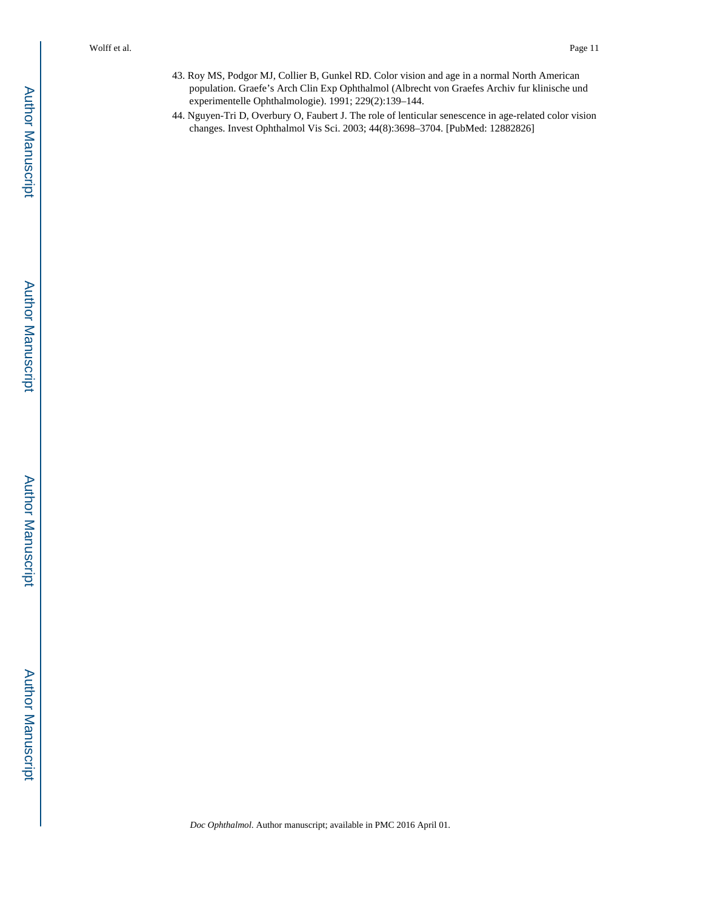- 43. Roy MS, Podgor MJ, Collier B, Gunkel RD. Color vision and age in a normal North American population. Graefe's Arch Clin Exp Ophthalmol (Albrecht von Graefes Archiv fur klinische und experimentelle Ophthalmologie). 1991; 229(2):139–144.
- 44. Nguyen-Tri D, Overbury O, Faubert J. The role of lenticular senescence in age-related color vision changes. Invest Ophthalmol Vis Sci. 2003; 44(8):3698–3704. [PubMed: 12882826]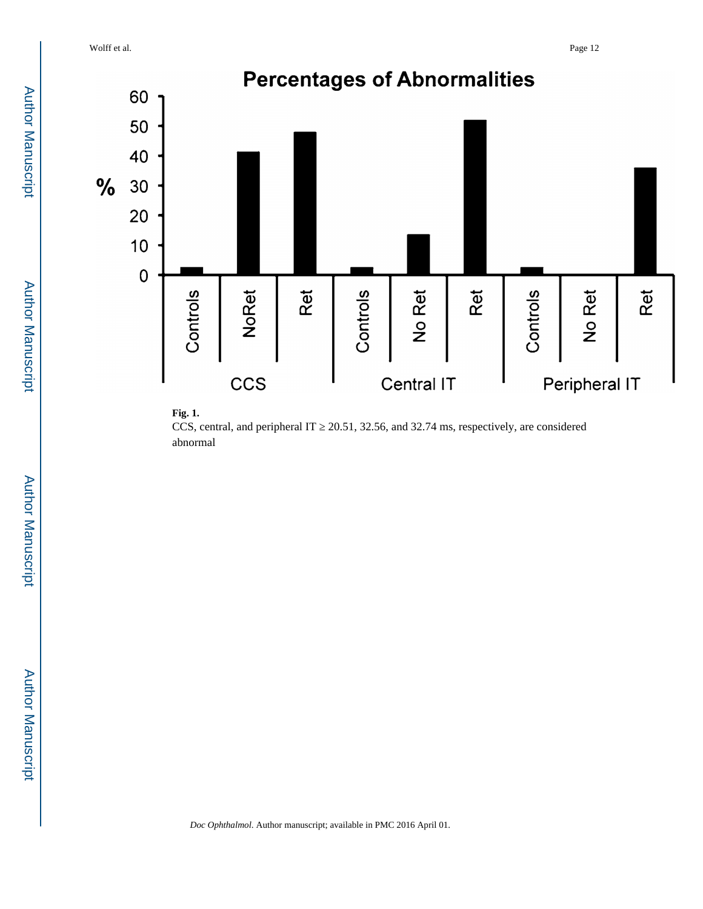Wolff et al. Page 12





CCS, central, and peripheral IT 20.51, 32.56, and 32.74 ms, respectively, are considered abnormal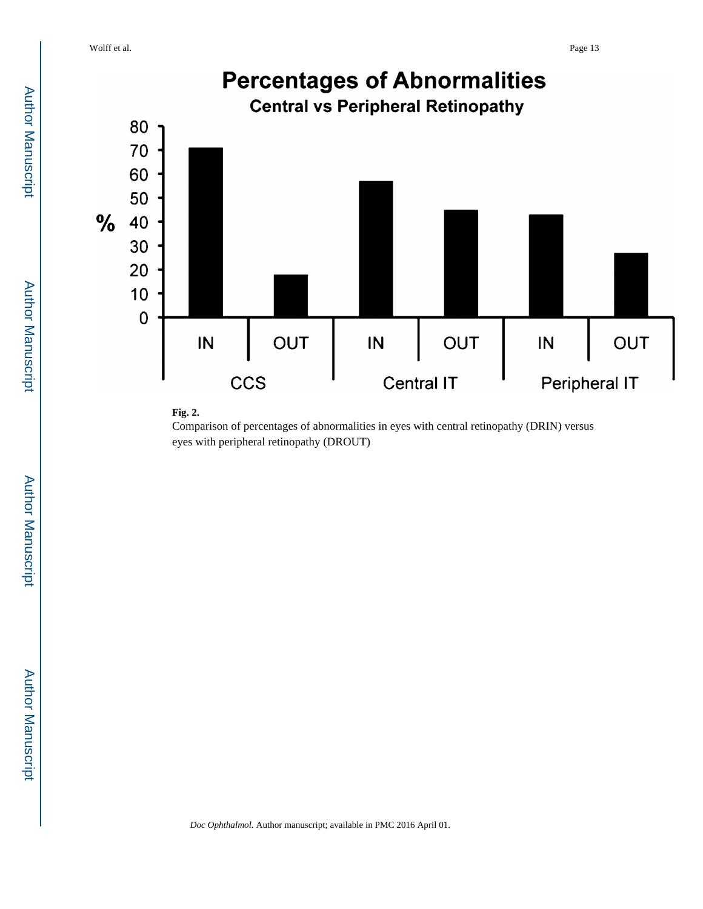



Comparison of percentages of abnormalities in eyes with central retinopathy (DRIN) versus eyes with peripheral retinopathy (DROUT)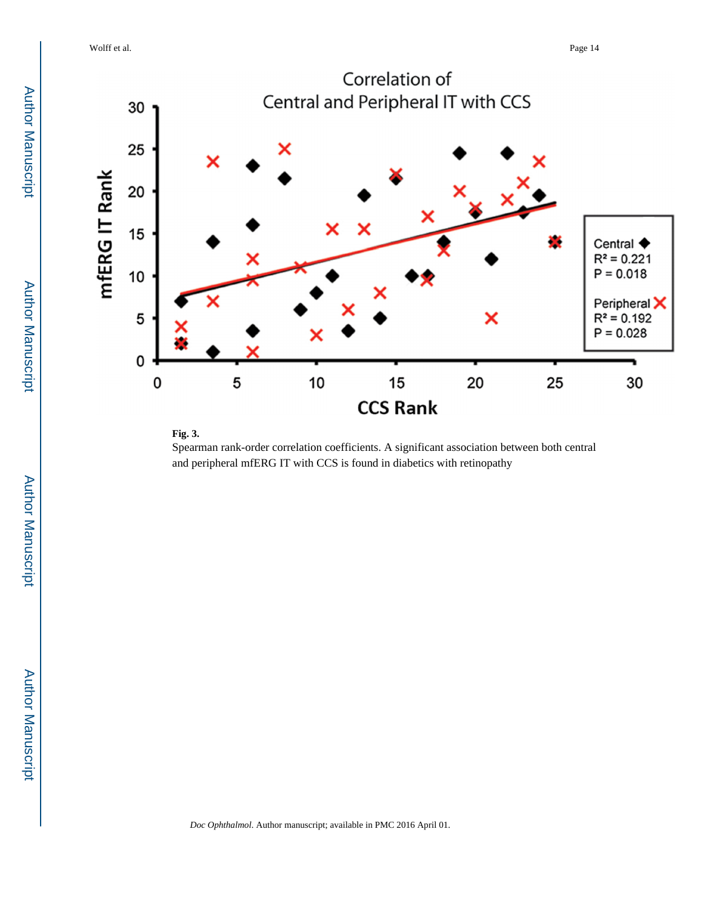Wolff et al. Page 14



#### **Fig. 3.**

Spearman rank-order correlation coefficients. A significant association between both central and peripheral mfERG IT with CCS is found in diabetics with retinopathy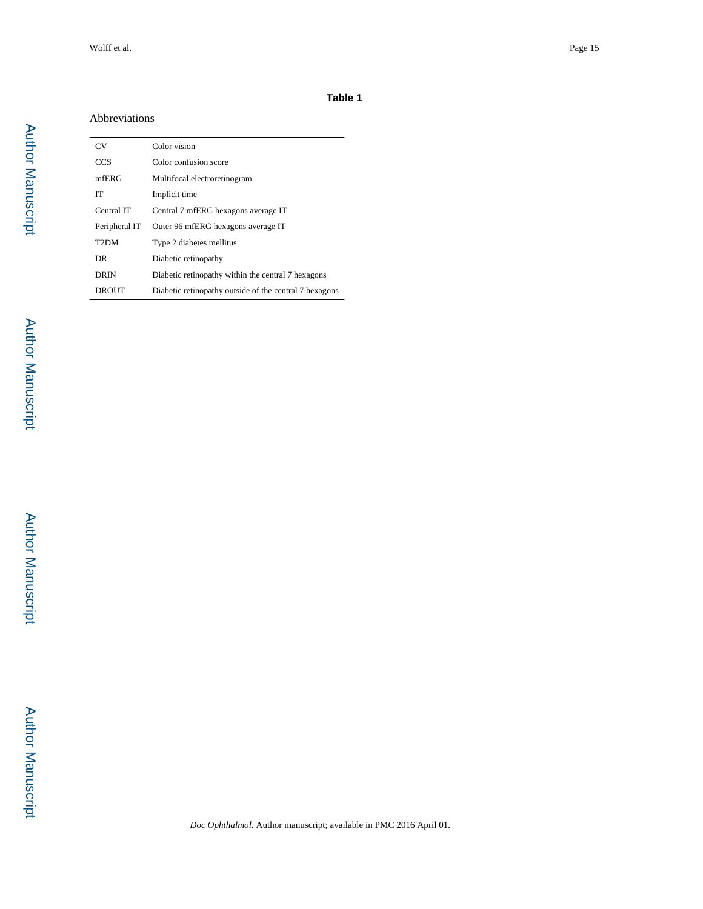#### Abbreviations

| CV.               | Color vision                                           |
|-------------------|--------------------------------------------------------|
| <b>CCS</b>        | Color confusion score                                  |
| mfERG             | Multifocal electroretinogram                           |
| IТ                | Implicit time                                          |
| Central IT        | Central 7 mfERG hexagons average IT                    |
| Peripheral IT     | Outer 96 mfERG hexagons average IT                     |
| T <sub>2</sub> DM | Type 2 diabetes mellitus                               |
| DR.               | Diabetic retinopathy                                   |
| DRIN              | Diabetic retinopathy within the central 7 hexagons     |
| DROUT             | Diabetic retinopathy outside of the central 7 hexagons |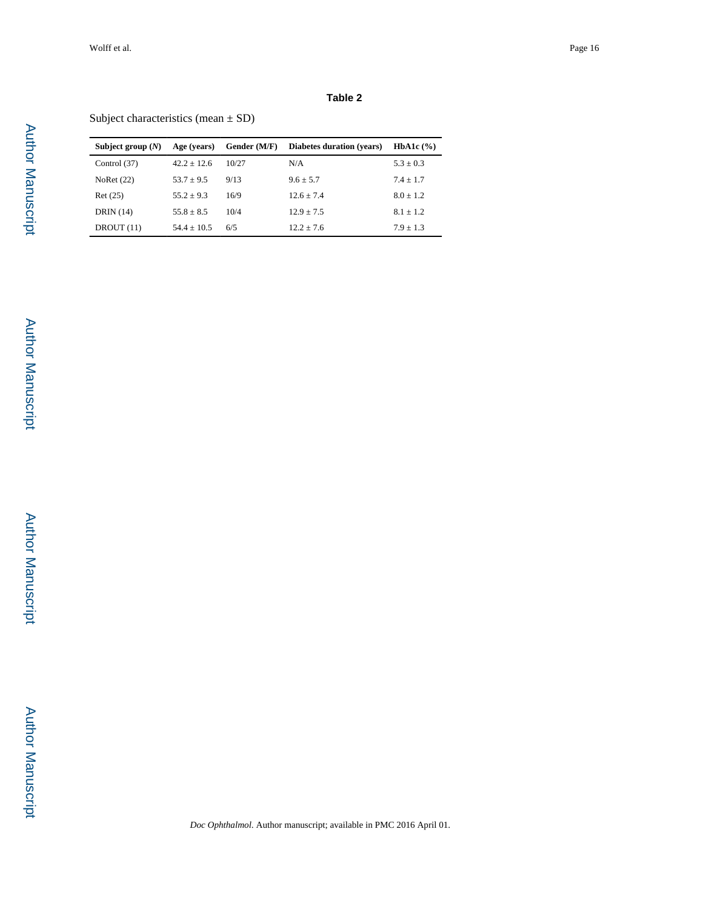Subject characteristics (mean ± SD)

| Subject group $(N)$ | Age (years)   | Gender (M/F) | Diabetes duration (years) | HbA1c $(% )$ |
|---------------------|---------------|--------------|---------------------------|--------------|
| Control $(37)$      | $42.2 + 12.6$ | 10/27        | N/A                       | $5.3 + 0.3$  |
| No $Ret(22)$        | $53.7 + 9.5$  | 9/13         | $9.6 + 5.7$               | $7.4 + 1.7$  |
| Ret(25)             | $55.2 + 9.3$  | 16/9         | $12.6 + 7.4$              | $8.0 + 1.2$  |
| DRIN $(14)$         | $55.8 + 8.5$  | 10/4         | $12.9 + 7.5$              | $8.1 + 1.2$  |
| DROUT(11)           | $54.4 + 10.5$ | 6/5          | $12.2 + 7.6$              | $7.9 + 1.3$  |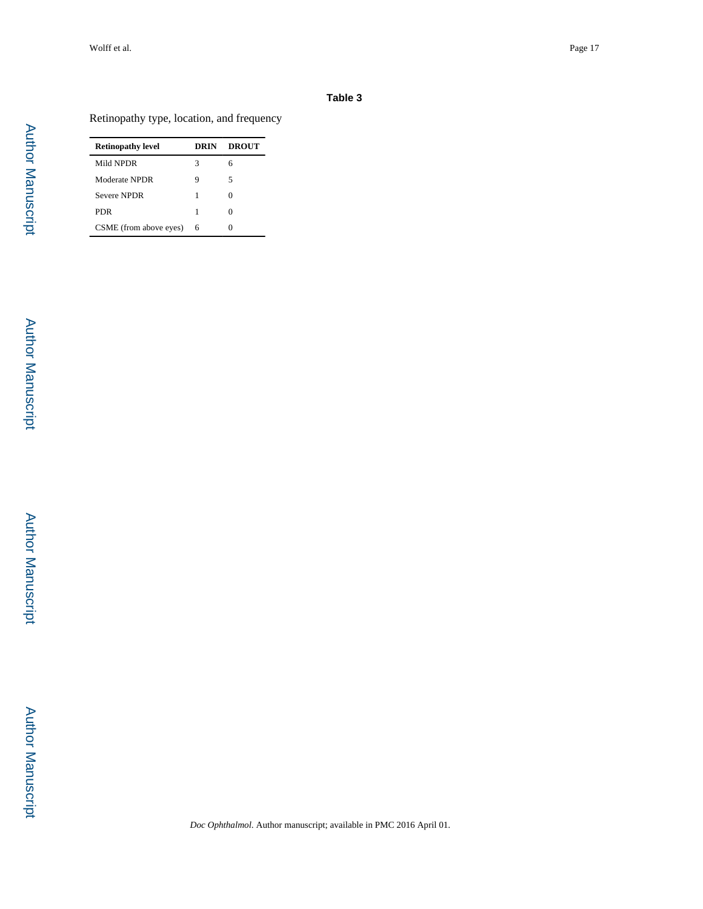Retinopathy type, location, and frequency

| <b>Retinopathy level</b> | DRIN | <b>DROUT</b> |
|--------------------------|------|--------------|
| Mild NPDR                | 3    | 6            |
| Moderate NPDR            | 9    | 5            |
| <b>Severe NPDR</b>       | 1    |              |
| PDR                      | 1    |              |
| CSME (from above eyes)   | 6    |              |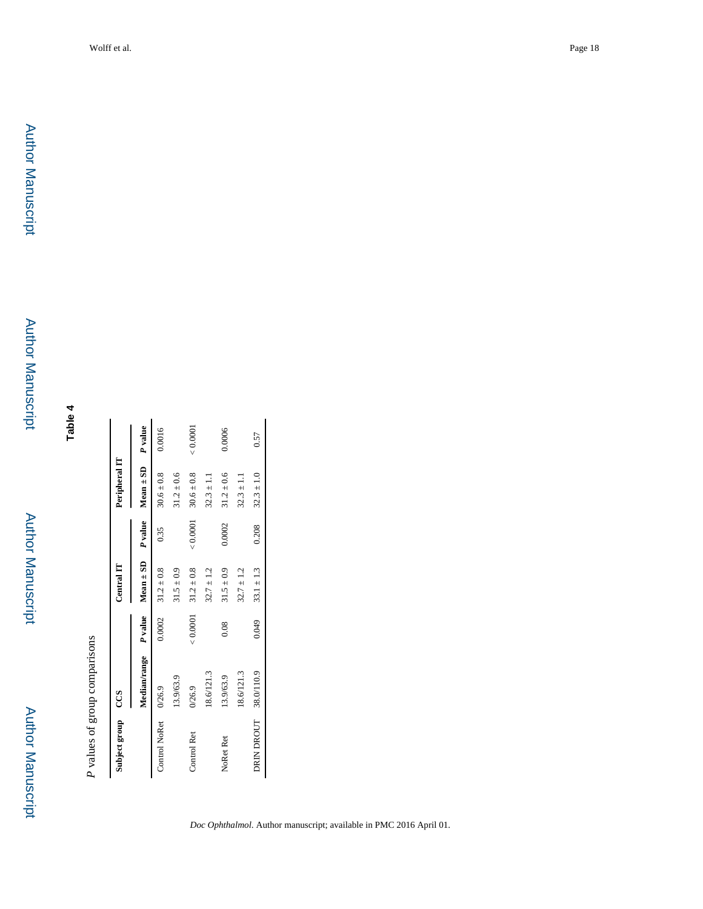Author Manuscript

**Author Manuscript** 

P values of group comparisons *P* values of group comparisons

| Subject group      | CCS                                            |          | Central IT     |        | Peripheral IT           |        |
|--------------------|------------------------------------------------|----------|----------------|--------|-------------------------|--------|
|                    | Median/range $P$ value Mean $\pm$ SD $P$ value |          |                |        | Mean $\pm$ SD $P$ value |        |
| Control NoRet      | 0/26.9                                         | 0.0002   | $31.2 \pm 0.8$ | 0.35   | $30.6 \pm 0.8$          | 0.0016 |
|                    | 13.9/63.9                                      |          | $31.5 \pm 0.9$ |        | $31.2 \pm 0.6$          |        |
| <b>Control Ret</b> | 0/26.9                                         | (0.0001) | $31.2 \pm 0.8$ | 0.0001 | $30.6 \pm 0.8$          | 0.0001 |
|                    | 18.6/121.3                                     |          | $32.7 \pm 1.2$ |        | $32.3 \pm 1.1$          |        |
| NoRet Ret          | 13.9/63.9                                      | 0.08     | $31.5 \pm 0.9$ | 0.0002 | $31.2 \pm 0.6$          | 0.0006 |
|                    | 18.6/121.3                                     |          | $32.7 \pm 1.2$ |        | $32.3 \pm 1.1$          |        |
| DRIN DROUT         | 38.0/110.9                                     | 0.049    | $33.1 \pm 1.3$ | 0.208  | $32.3 \pm 1.0$          | 0.57   |